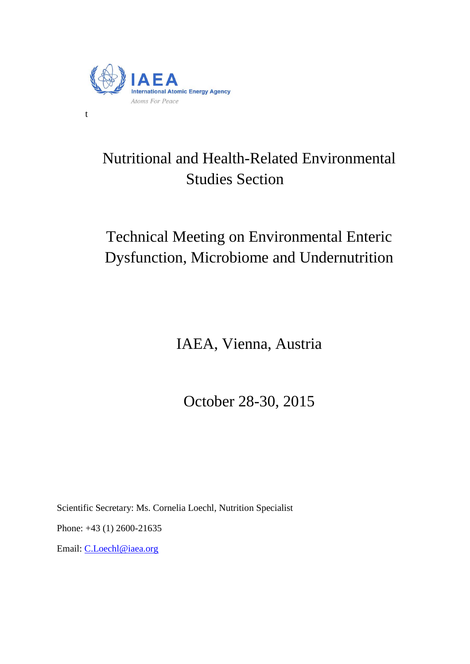

t

# Nutritional and Health-Related Environmental Studies Section

# Technical Meeting on Environmental Enteric Dysfunction, Microbiome and Undernutrition

IAEA, Vienna, Austria

October 28-30, 2015

Scientific Secretary: Ms. Cornelia Loechl, Nutrition Specialist

Phone: +43 (1) 2600-21635

Email: [C.Loechl@iaea.org](mailto:C.Loechl@iaea.org)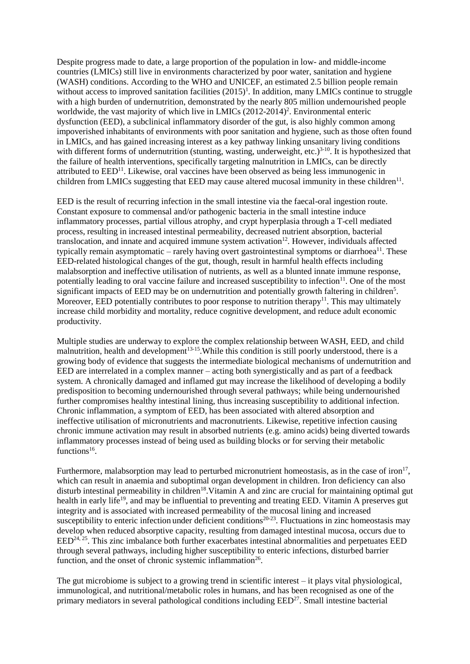Despite progress made to date, a large proportion of the population in low- and middle-income countries (LMICs) still live in environments characterized by poor water, sanitation and hygiene (WASH) conditions. According to the WHO and UNICEF, an estimated 2.5 billion people remain without access to improved sanitation facilities  $(2015)^1$ . In addition, many LMICs continue to struggle with a high burden of undernutrition, demonstrated by the nearly 805 million undernourished people worldwide, the vast majority of which live in LMICs (2012-2014)<sup>2</sup>. Environmental enteric dysfunction (EED), a subclinical inflammatory disorder of the gut, is also highly common among impoverished inhabitants of environments with poor sanitation and hygiene, such as those often found in LMICs, and has gained increasing interest as a key pathway linking unsanitary living conditions with different forms of undernutrition (stunting, wasting, underweight, etc.)<sup>3-10</sup>. It is hypothesized that the failure of health interventions, specifically targeting malnutrition in LMICs, can be directly attributed to  $EED<sup>11</sup>$ . Likewise, oral vaccines have been observed as being less immunogenic in children from LMICs suggesting that EED may cause altered mucosal immunity in these children $11$ .

EED is the result of recurring infection in the small intestine via the faecal-oral ingestion route. Constant exposure to commensal and/or pathogenic bacteria in the small intestine induce inflammatory processes, partial villous atrophy, and crypt hyperplasia through a T-cell mediated process, resulting in increased intestinal permeability, decreased nutrient absorption, bacterial translocation, and innate and acquired immune system activation $12$ . However, individuals affected typically remain asymptomatic – rarely having overt gastrointestinal symptoms or diarrhoea<sup>11</sup>. These EED-related histological changes of the gut, though, result in harmful health effects including malabsorption and ineffective utilisation of nutrients, as well as a blunted innate immune response, potentially leading to oral vaccine failure and increased susceptibility to infection<sup>11</sup>. One of the most significant impacts of EED may be on undernutrition and potentially growth faltering in children<sup>5</sup>. Moreover, EED potentially contributes to poor response to nutrition therapy<sup>11</sup>. This may ultimately increase child morbidity and mortality, reduce cognitive development, and reduce adult economic productivity.

Multiple studies are underway to explore the complex relationship between WASH, EED, and child malnutrition, health and development<sup>13-15</sup>. While this condition is still poorly understood, there is a growing body of evidence that suggests the intermediate biological mechanisms of undernutrition and EED are interrelated in a complex manner – acting both synergistically and as part of a feedback system. A chronically damaged and inflamed gut may increase the likelihood of developing a bodily predisposition to becoming undernourished through several pathways; while being undernourished further compromises healthy intestinal lining, thus increasing susceptibility to additional infection. Chronic inflammation, a symptom of EED, has been associated with altered absorption and ineffective utilisation of micronutrients and macronutrients. Likewise, repetitive infection causing chronic immune activation may result in absorbed nutrients (e.g. amino acids) being diverted towards inflammatory processes instead of being used as building blocks or for serving their metabolic functions<sup>16</sup>.

Furthermore, malabsorption may lead to perturbed micronutrient homeostasis, as in the case of iron<sup>17</sup>, which can result in anaemia and suboptimal organ development in children. Iron deficiency can also disturb intestinal permeability in children<sup>18</sup>. Vitamin A and zinc are crucial for maintaining optimal gut health in early life<sup>19</sup>, and may be influential to preventing and treating EED. Vitamin A preserves gut integrity and is associated with increased permeability of the mucosal lining and increased susceptibility to enteric infection under deficient conditions<sup>20-23</sup>. Fluctuations in zinc homeostasis may develop when reduced absorptive capacity, resulting from damaged intestinal mucosa, occurs due to  $EED^{24,25}$ . This zinc imbalance both further exacerbates intestinal abnormalities and perpetuates EED through several pathways, including higher susceptibility to enteric infections, disturbed barrier function, and the onset of chronic systemic inflammation<sup>26</sup>.

The gut microbiome is subject to a growing trend in scientific interest – it plays vital physiological, immunological, and nutritional/metabolic roles in humans, and has been recognised as one of the primary mediators in several pathological conditions including EED<sup>27</sup>. Small intestine bacterial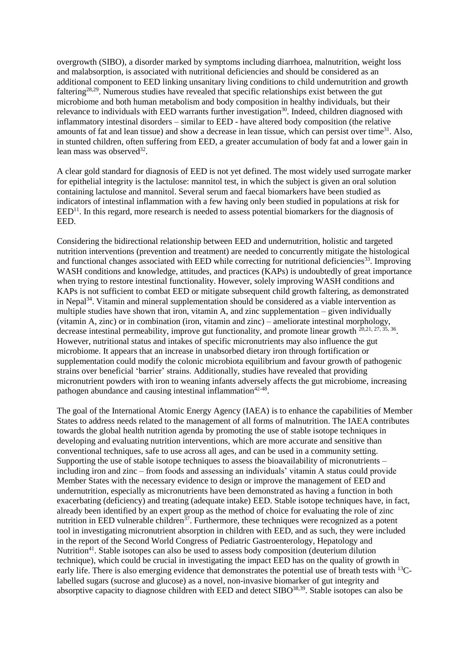overgrowth (SIBO), a disorder marked by symptoms including diarrhoea, malnutrition, weight loss and malabsorption, is associated with nutritional deficiencies and should be considered as an additional component to EED linking unsanitary living conditions to child undernutrition and growth faltering<sup>28,29</sup>. Numerous studies have revealed that specific relationships exist between the gut microbiome and both human metabolism and body composition in healthy individuals, but their relevance to individuals with EED warrants further investigation<sup>30</sup>. Indeed, children diagnosed with inflammatory intestinal disorders – similar to EED - have altered body composition (the relative amounts of fat and lean tissue) and show a decrease in lean tissue, which can persist over time<sup>31</sup>. Also, in stunted children, often suffering from EED, a greater accumulation of body fat and a lower gain in lean mass was observed<sup>32</sup>.

A clear gold standard for diagnosis of EED is not yet defined. The most widely used surrogate marker for epithelial integrity is the lactulose: mannitol test, in which the subject is given an oral solution containing lactulose and mannitol. Several serum and faecal biomarkers have been studied as indicators of intestinal inflammation with a few having only been studied in populations at risk for  $EED<sup>11</sup>$ . In this regard, more research is needed to assess potential biomarkers for the diagnosis of EED.

Considering the bidirectional relationship between EED and undernutrition, holistic and targeted nutrition interventions (prevention and treatment) are needed to concurrently mitigate the histological and functional changes associated with EED while correcting for nutritional deficiencies<sup>33</sup>. Improving WASH conditions and knowledge, attitudes, and practices (KAPs) is undoubtedly of great importance when trying to restore intestinal functionality. However, solely improving WASH conditions and KAPs is not sufficient to combat EED or mitigate subsequent child growth faltering, as demonstrated in Nepal<sup>34</sup>. Vitamin and mineral supplementation should be considered as a viable intervention as multiple studies have shown that iron, vitamin A, and zinc supplementation – given individually (vitamin A, zinc) or in combination (iron, vitamin and zinc) – ameliorate intestinal morphology, decrease intestinal permeability, improve gut functionality, and promote linear growth <sup>20,21, 27, 35, 36</sup>. However, nutritional status and intakes of specific micronutrients may also influence the gut microbiome. It appears that an increase in unabsorbed dietary iron through fortification or supplementation could modify the colonic microbiota equilibrium and favour growth of pathogenic strains over beneficial 'barrier' strains. Additionally, studies have revealed that providing micronutrient powders with iron to weaning infants adversely affects the gut microbiome, increasing pathogen abundance and causing intestinal inflammation<sup>42-48</sup>.

The goal of the International Atomic Energy Agency (IAEA) is to enhance the capabilities of Member States to address needs related to the management of all forms of malnutrition. The IAEA contributes towards the global health nutrition agenda by promoting the use of stable isotope techniques in developing and evaluating nutrition interventions, which are more accurate and sensitive than conventional techniques, safe to use across all ages, and can be used in a community setting. Supporting the use of stable isotope techniques to assess the bioavailability of micronutrients – including iron and zinc – from foods and assessing an individuals' vitamin A status could provide Member States with the necessary evidence to design or improve the management of EED and undernutrition, especially as micronutrients have been demonstrated as having a function in both exacerbating (deficiency) and treating (adequate intake) EED. Stable isotope techniques have, in fact, already been identified by an expert group as the method of choice for evaluating the role of zinc nutrition in EED vulnerable children<sup>37</sup>. Furthermore, these techniques were recognized as a potent tool in investigating micronutrient absorption in children with EED, and as such, they were included in the report of the Second World Congress of Pediatric Gastroenterology, Hepatology and Nutrition<sup>41</sup>. Stable isotopes can also be used to assess body composition (deuterium dilution technique), which could be crucial in investigating the impact EED has on the quality of growth in early life. There is also emerging evidence that demonstrates the potential use of breath tests with <sup>13</sup>Clabelled sugars (sucrose and glucose) as a novel, non-invasive biomarker of gut integrity and absorptive capacity to diagnose children with EED and detect  $SHBO^{38,39}$ . Stable isotopes can also be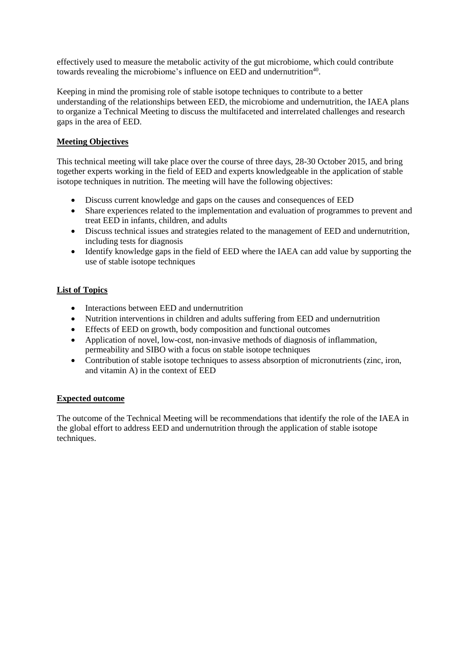effectively used to measure the metabolic activity of the gut microbiome, which could contribute towards revealing the microbiome's influence on EED and undernutrition<sup>40</sup>.

Keeping in mind the promising role of stable isotope techniques to contribute to a better understanding of the relationships between EED, the microbiome and undernutrition, the IAEA plans to organize a Technical Meeting to discuss the multifaceted and interrelated challenges and research gaps in the area of EED.

## **Meeting Objectives**

This technical meeting will take place over the course of three days, 28-30 October 2015, and bring together experts working in the field of EED and experts knowledgeable in the application of stable isotope techniques in nutrition. The meeting will have the following objectives:

- Discuss current knowledge and gaps on the causes and consequences of EED
- Share experiences related to the implementation and evaluation of programmes to prevent and treat EED in infants, children, and adults
- Discuss technical issues and strategies related to the management of EED and undernutrition, including tests for diagnosis
- Identify knowledge gaps in the field of EED where the IAEA can add value by supporting the use of stable isotope techniques

### **List of Topics**

- Interactions between EED and undernutrition
- Nutrition interventions in children and adults suffering from EED and undernutrition
- Effects of EED on growth, body composition and functional outcomes
- Application of novel, low-cost, non-invasive methods of diagnosis of inflammation, permeability and SIBO with a focus on stable isotope techniques
- Contribution of stable isotope techniques to assess absorption of micronutrients (zinc, iron, and vitamin A) in the context of EED

### **Expected outcome**

The outcome of the Technical Meeting will be recommendations that identify the role of the IAEA in the global effort to address EED and undernutrition through the application of stable isotope techniques.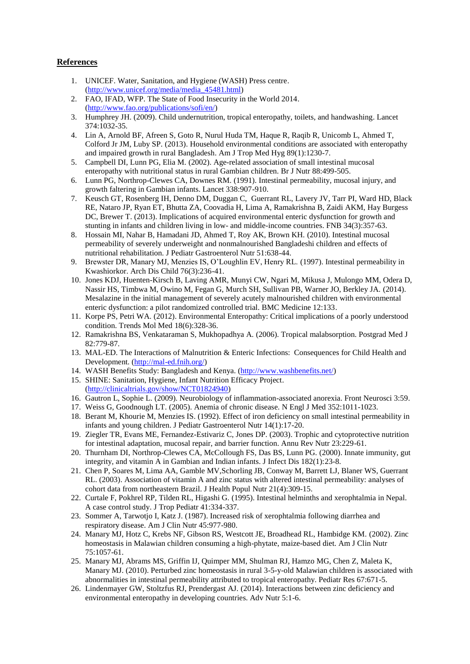### **References**

- 1. UNICEF. Water, Sanitation, and Hygiene (WASH) Press centre. [\(http://www.unicef.org/media/media\\_45481.html\)](http://www.unicef.org/media/media_45481.html)
- 2. FAO, IFAD, WFP. The State of Food Insecurity in the World 2014. [\(http://www.fao.org/publications/sofi/en/\)](http://www.fao.org/publications/sofi/en/)
- 3. Humphrey JH. (2009). Child undernutrition, tropical enteropathy, toilets, and handwashing. Lancet 374:1032-35.
- 4. Lin A, Arnold BF, Afreen S, Goto R, Nurul Huda TM, Haque R, Raqib R, Unicomb L, Ahmed T, Colford Jr JM, Luby SP. (2013). Household environmental conditions are associated with enteropathy and impaired growth in rural Bangladesh. Am J Trop Med Hyg 89(1):1230-7.
- 5. Campbell DI, Lunn PG, Elia M. (2002). Age-related association of small intestinal mucosal enteropathy with nutritional status in rural Gambian children. Br J Nutr 88:499-505.
- 6. Lunn PG, Northrop-Clewes CA, Downes RM. (1991). Intestinal permeability, mucosal injury, and growth faltering in Gambian infants. Lancet 338:907-910.
- 7. Keusch GT, Rosenberg IH, Denno DM, Duggan C, Guerrant RL, Lavery JV, Tarr PI, Ward HD, Black RE, Nataro JP, Ryan ET, Bhutta ZA, Coovadia H, Lima A, Ramakrishna B, Zaidi AKM, Hay Burgess DC, Brewer T. (2013). Implications of acquired environmental enteric dysfunction for growth and stunting in infants and children living in low- and middle-income countries. FNB 34(3):357-63.
- 8. Hossain MI, Nahar B, Hamadani JD, Ahmed T, Roy AK, Brown KH. (2010). Intestinal mucosal permeability of severely underweight and nonmalnourished Bangladeshi children and effects of nutritional rehabilitation. J Pediatr Gastroenterol Nutr 51:638-44.
- 9. Brewster DR, Manary MJ, Menzies IS, O'Loughlin EV, Henry RL. (1997). Intestinal permeability in Kwashiorkor. Arch Dis Child 76(3):236-41.
- 10. Jones KDJ, Huenten-Kirsch B, Laving AMR, Munyi CW, Ngari M, Mikusa J, Mulongo MM, Odera D, Nassir HS, Timbwa M, Owino M, Fegan G, Murch SH, Sullivan PB, Warner JO, Berkley JA. (2014). Mesalazine in the initial management of severely acutely malnourished children with environmental enteric dysfunction: a pilot randomized controlled trial. BMC Medicine 12:133.
- 11. Korpe PS, Petri WA. (2012). Environmental Enteropathy: Critical implications of a poorly understood condition. Trends Mol Med 18(6):328-36.
- 12. Ramakrishna BS, Venkataraman S, Mukhopadhya A. (2006). Tropical malabsorption. Postgrad Med J 82:779-87.
- 13. MAL-ED. The Interactions of Malnutrition & Enteric Infections: Consequences for Child Health and Development. [\(http://mal-ed.fnih.org/\)](http://mal-ed.fnih.org/)
- 14. WASH Benefits Study: Bangladesh and Kenya. [\(http://www.washbenefits.net/\)](http://www.washbenefits.net/)
- 15. SHINE: Sanitation, Hygiene, Infant Nutrition Efficacy Project.
- [\(http://clinicaltrials.gov/show/NCT01824940\)](http://clinicaltrials.gov/show/NCT01824940)
- 16. Gautron L, Sophie L. (2009). Neurobiology of inflammation-associated anorexia. Front Neurosci 3:59.
- 17. Weiss G, Goodnough LT. (2005). Anemia of chronic disease. N Engl J Med 352:1011-1023.
- 18. Berant M, Khourie M, Menzies IS. (1992). Effect of iron deficiency on small intestinal permeability in infants and young children. J Pediatr Gastroenterol Nutr 14(1):17-20.
- 19. Ziegler TR, Evans ME, Fernandez-Estivariz C, Jones DP. (2003). Trophic and cytoprotective nutrition for intestinal adaptation, mucosal repair, and barrier function. Annu Rev Nutr 23:229-61.
- 20. Thurnham DI, Northrop-Clewes CA, McCollough FS, Das BS, Lunn PG. (2000). Innate immunity, gut integrity, and vitamin A in Gambian and Indian infants. J Infect Dis 182(1):23-8.
- 21. Chen P, Soares M, Lima AA, Gamble MV,Schorling JB, Conway M, Barrett LJ, Blaner WS, Guerrant RL. (2003). Association of vitamin A and zinc status with altered intestinal permeability: analyses of cohort data from northeastern Brazil. J Health Popul Nutr 21(4):309-15.
- 22. Curtale F, Pokhrel RP, Tilden RL, Higashi G. (1995). Intestinal helminths and xerophtalmia in Nepal. A case control study. J Trop Pediatr 41:334-337.
- 23. Sommer A, Tarwotjo I, Katz J. (1987). Increased risk of xerophtalmia following diarrhea and respiratory disease. Am J Clin Nutr 45:977-980.
- 24. Manary MJ, Hotz C, Krebs NF, Gibson RS, Westcott JE, Broadhead RL, Hambidge KM. (2002). Zinc homeostasis in Malawian children consuming a high-phytate, maize-based diet. Am J Clin Nutr 75:1057-61.
- 25. Manary MJ, Abrams MS, Griffin IJ, Quimper MM, Shulman RJ, Hamzo MG, Chen Z, Maleta K, Manary MJ. (2010). Perturbed zinc homeostasis in rural 3-5-y-old Malawian children is associated with abnormalities in intestinal permeability attributed to tropical enteropathy. Pediatr Res 67:671-5.
- 26. Lindenmayer GW, Stoltzfus RJ, Prendergast AJ. (2014). Interactions between zinc deficiency and environmental enteropathy in developing countries. Adv Nutr 5:1-6.